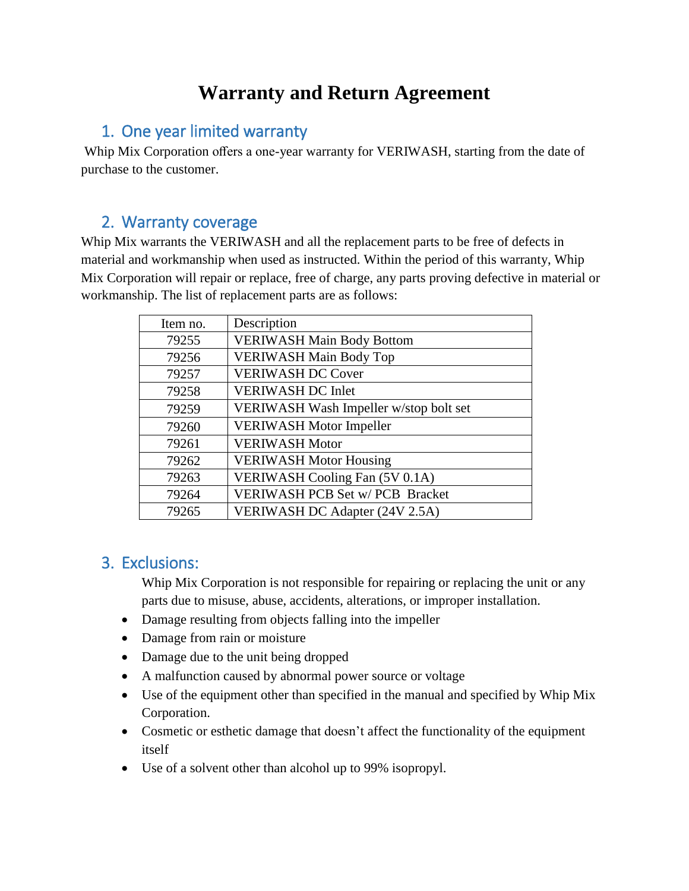# **Warranty and Return Agreement**

#### 1. One year limited warranty

Whip Mix Corporation offers a one-year warranty for VERIWASH, starting from the date of purchase to the customer.

#### 2. Warranty coverage

Whip Mix warrants the VERIWASH and all the replacement parts to be free of defects in material and workmanship when used as instructed. Within the period of this warranty, Whip Mix Corporation will repair or replace, free of charge, any parts proving defective in material or workmanship. The list of replacement parts are as follows:

| Item no. | Description                            |
|----------|----------------------------------------|
| 79255    | <b>VERIWASH Main Body Bottom</b>       |
| 79256    | <b>VERIWASH Main Body Top</b>          |
| 79257    | <b>VERIWASH DC Cover</b>               |
| 79258    | <b>VERIWASH DC Inlet</b>               |
| 79259    | VERIWASH Wash Impeller w/stop bolt set |
| 79260    | <b>VERIWASH Motor Impeller</b>         |
| 79261    | <b>VERIWASH Motor</b>                  |
| 79262    | <b>VERIWASH Motor Housing</b>          |
| 79263    | <b>VERIWASH Cooling Fan (5V 0.1A)</b>  |
| 79264    | <b>VERIWASH PCB Set w/ PCB Bracket</b> |
| 79265    | <b>VERIWASH DC Adapter (24V 2.5A)</b>  |

### 3. Exclusions:

Whip Mix Corporation is not responsible for repairing or replacing the unit or any parts due to misuse, abuse, accidents, alterations, or improper installation.

- Damage resulting from objects falling into the impeller
- Damage from rain or moisture
- Damage due to the unit being dropped
- A malfunction caused by abnormal power source or voltage
- Use of the equipment other than specified in the manual and specified by Whip Mix Corporation.
- Cosmetic or esthetic damage that doesn't affect the functionality of the equipment itself
- Use of a solvent other than alcohol up to 99% isopropyl.